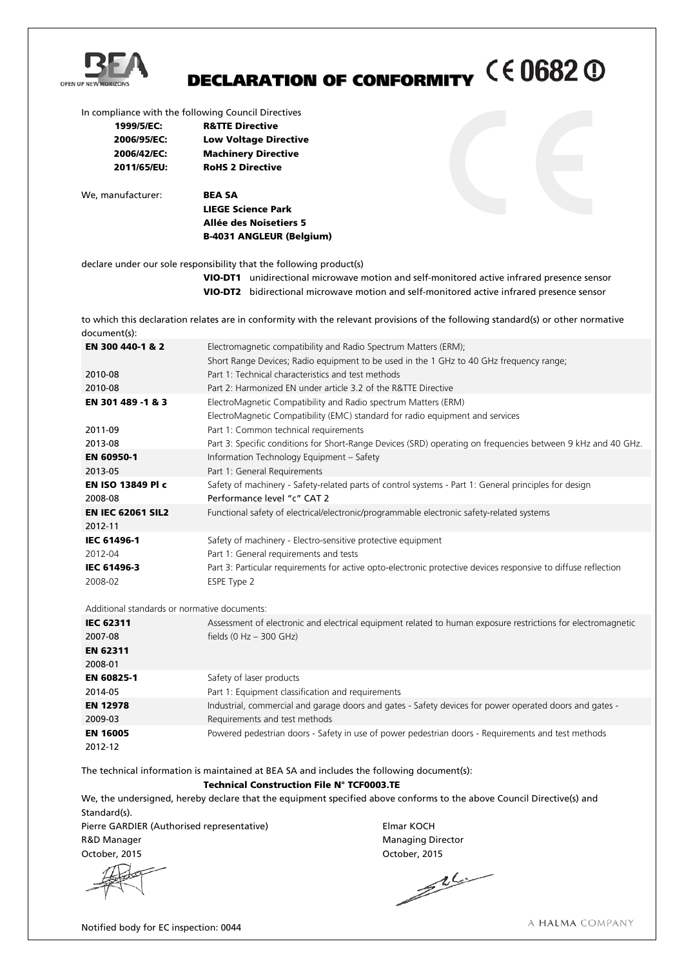

# DECLARATION OF CONFORMITY CE0682 O

In compliance with the following Council Directives

| 1999/5/EC:        | <b>R&amp;TTE Directive</b>   |  |
|-------------------|------------------------------|--|
| 2006/95/EC:       | <b>Low Voltage Directive</b> |  |
| 2006/42/EC:       | <b>Machinery Directive</b>   |  |
| 2011/65/EU:       | <b>RoHS 2 Directive</b>      |  |
|                   |                              |  |
| We, manufacturer: | BEA SA                       |  |

LIEGE Science Park Allée des Noisetiers 5 B-4031 ANGLEUR (Belgium)

declare under our sole responsibility that the following product(s)

VIO-DT1 unidirectional microwave motion and self-monitored active infrared presence sensor VIO-DT2 bidirectional microwave motion and self-monitored active infrared presence sensor

to which this declaration relates are in conformity with the relevant provisions of the following standard(s) or other normative document(s):

| EN 300 440-1 & 2                             | Electromagnetic compatibility and Radio Spectrum Matters (ERM);                                                |  |  |
|----------------------------------------------|----------------------------------------------------------------------------------------------------------------|--|--|
|                                              | Short Range Devices; Radio equipment to be used in the 1 GHz to 40 GHz frequency range;                        |  |  |
| 2010-08                                      | Part 1: Technical characteristics and test methods                                                             |  |  |
| 2010-08                                      | Part 2: Harmonized EN under article 3.2 of the R&TTE Directive                                                 |  |  |
| EN 301 489 -1 & 3                            | ElectroMagnetic Compatibility and Radio spectrum Matters (ERM)                                                 |  |  |
|                                              | ElectroMagnetic Compatibility (EMC) standard for radio equipment and services                                  |  |  |
| 2011-09                                      | Part 1: Common technical requirements                                                                          |  |  |
| 2013-08                                      | Part 3: Specific conditions for Short-Range Devices (SRD) operating on frequencies between 9 kHz and 40 GHz.   |  |  |
| EN 60950-1                                   | Information Technology Equipment - Safety                                                                      |  |  |
| 2013-05                                      | Part 1: General Requirements                                                                                   |  |  |
| <b>EN ISO 13849 PI c</b>                     | Safety of machinery - Safety-related parts of control systems - Part 1: General principles for design          |  |  |
| 2008-08                                      | Performance level "c" CAT 2                                                                                    |  |  |
| <b>EN IEC 62061 SIL2</b>                     | Functional safety of electrical/electronic/programmable electronic safety-related systems                      |  |  |
| 2012-11                                      |                                                                                                                |  |  |
| <b>IEC 61496-1</b>                           | Safety of machinery - Electro-sensitive protective equipment                                                   |  |  |
| 2012-04                                      | Part 1: General requirements and tests                                                                         |  |  |
| <b>IEC 61496-3</b>                           | Part 3: Particular requirements for active opto-electronic protective devices responsive to diffuse reflection |  |  |
| 2008-02                                      | ESPE Type 2                                                                                                    |  |  |
|                                              |                                                                                                                |  |  |
| Additional standards or normative documents: |                                                                                                                |  |  |
| <b>IEC 62311</b>                             | Assessment of electronic and electrical equipment related to human exposure restrictions for electromagnetic   |  |  |
| 2007-08                                      | fields $(0 Hz - 300 GHz)$                                                                                      |  |  |
| <b>EN 62311</b>                              |                                                                                                                |  |  |
| 2008-01                                      |                                                                                                                |  |  |
| EN 60825-1                                   | Safety of laser products                                                                                       |  |  |
| 2014-05                                      | Part 1: Equipment classification and requirements                                                              |  |  |
| <b>EN 12978</b>                              | Industrial, commercial and garage doors and gates - Safety devices for power operated doors and gates -        |  |  |
| 2009-03                                      | Requirements and test methods                                                                                  |  |  |
| <b>EN 16005</b>                              | Powered pedestrian doors - Safety in use of power pedestrian doors - Requirements and test methods             |  |  |
| 2012-12                                      |                                                                                                                |  |  |

The technical information is maintained at BEA SA and includes the following document(s):

Technical Construction File N° TCF0003.TE

We, the undersigned, hereby declare that the equipment specified above conforms to the above Council Directive(s) and Standard(s).

Pierre GARDIER (Authorised representative) The Representation of the Elmar KOCH R&D Manager Managing Director Managing Director

October, 2015 October, 2015